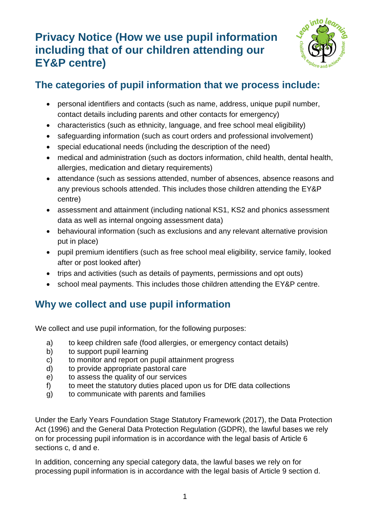# **Privacy Notice (How we use pupil information including that of our children attending our EY&P centre)**



## **The categories of pupil information that we process include:**

- personal identifiers and contacts (such as name, address, unique pupil number, contact details including parents and other contacts for emergency)
- characteristics (such as ethnicity, language, and free school meal eligibility)
- safeguarding information (such as court orders and professional involvement)
- special educational needs (including the description of the need)
- medical and administration (such as doctors information, child health, dental health, allergies, medication and dietary requirements)
- attendance (such as sessions attended, number of absences, absence reasons and any previous schools attended. This includes those children attending the EY&P centre)
- assessment and attainment (including national KS1, KS2 and phonics assessment data as well as internal ongoing assessment data)
- behavioural information (such as exclusions and any relevant alternative provision put in place)
- pupil premium identifiers (such as free school meal eligibility, service family, looked after or post looked after)
- trips and activities (such as details of payments, permissions and opt outs)
- school meal payments. This includes those children attending the EY&P centre.

## **Why we collect and use pupil information**

We collect and use pupil information, for the following purposes:

- a) to keep children safe (food allergies, or emergency contact details)
- b) to support pupil learning
- c) to monitor and report on pupil attainment progress
- d) to provide appropriate pastoral care
- e) to assess the quality of our services
- f) to meet the statutory duties placed upon us for DfE data collections
- g) to communicate with parents and families

Under the Early Years Foundation Stage Statutory Framework (2017), the Data Protection Act (1996) and the General Data Protection Regulation (GDPR), the lawful bases we rely on for processing pupil information is in accordance with the legal basis of Article 6 sections c, d and e.

In addition, concerning any special category data, the lawful bases we rely on for processing pupil information is in accordance with the legal basis of Article 9 section d.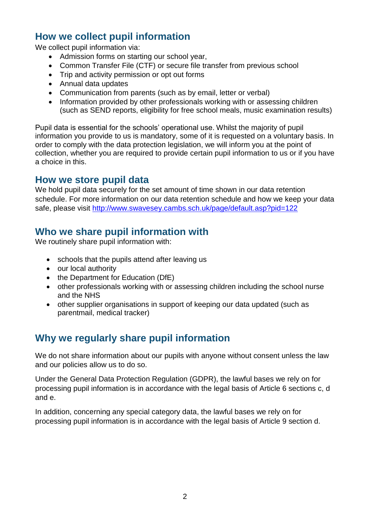## **How we collect pupil information**

We collect pupil information via:

- Admission forms on starting our school year,
- Common Transfer File (CTF) or secure file transfer from previous school
- Trip and activity permission or opt out forms
- Annual data updates
- Communication from parents (such as by email, letter or verbal)
- Information provided by other professionals working with or assessing children (such as SEND reports, eligibility for free school meals, music examination results)

Pupil data is essential for the schools' operational use. Whilst the majority of pupil information you provide to us is mandatory, some of it is requested on a voluntary basis. In order to comply with the data protection legislation, we will inform you at the point of collection, whether you are required to provide certain pupil information to us or if you have a choice in this.

### **How we store pupil data**

We hold pupil data securely for the set amount of time shown in our data retention schedule. For more information on our data retention schedule and how we keep your data safe, please visit<http://www.swavesey.cambs.sch.uk/page/default.asp?pid=122>

## **Who we share pupil information with**

We routinely share pupil information with:

- schools that the pupils attend after leaving us
- our local authority
- the Department for Education (DfE)
- other professionals working with or assessing children including the school nurse and the NHS
- other supplier organisations in support of keeping our data updated (such as parentmail, medical tracker)

## **Why we regularly share pupil information**

We do not share information about our pupils with anyone without consent unless the law and our policies allow us to do so.

Under the General Data Protection Regulation (GDPR), the lawful bases we rely on for processing pupil information is in accordance with the legal basis of Article 6 sections c, d and e.

In addition, concerning any special category data, the lawful bases we rely on for processing pupil information is in accordance with the legal basis of Article 9 section d.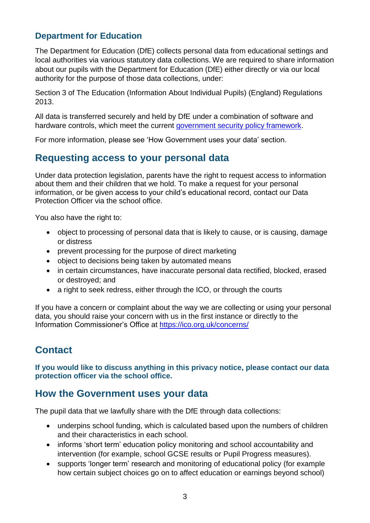#### **Department for Education**

The Department for Education (DfE) collects personal data from educational settings and local authorities via various statutory data collections. We are required to share information about our pupils with the Department for Education (DfE) either directly or via our local authority for the purpose of those data collections, under:

Section 3 of The Education (Information About Individual Pupils) (England) Regulations 2013.

All data is transferred securely and held by DfE under a combination of software and hardware controls, which meet the current [government security policy framework.](https://www.gov.uk/government/publications/security-policy-framework)

For more information, please see 'How Government uses your data' section.

## **Requesting access to your personal data**

Under data protection legislation, parents have the right to request access to information about them and their children that we hold. To make a request for your personal information, or be given access to your child's educational record, contact our Data Protection Officer via the school office.

You also have the right to:

- object to processing of personal data that is likely to cause, or is causing, damage or distress
- prevent processing for the purpose of direct marketing
- object to decisions being taken by automated means
- in certain circumstances, have inaccurate personal data rectified, blocked, erased or destroyed; and
- a right to seek redress, either through the ICO, or through the courts

If you have a concern or complaint about the way we are collecting or using your personal data, you should raise your concern with us in the first instance or directly to the Information Commissioner's Office at <https://ico.org.uk/concerns/>

## **Contact**

**If you would like to discuss anything in this privacy notice, please contact our data protection officer via the school office.** 

## **How the Government uses your data**

The pupil data that we lawfully share with the DfE through data collections:

- underpins school funding, which is calculated based upon the numbers of children and their characteristics in each school.
- informs 'short term' education policy monitoring and school accountability and intervention (for example, school GCSE results or Pupil Progress measures).
- supports 'longer term' research and monitoring of educational policy (for example how certain subject choices go on to affect education or earnings beyond school)